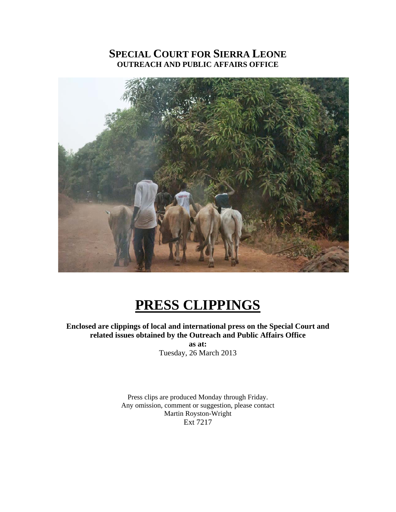# **SPECIAL COURT FOR SIERRA LEONE OUTREACH AND PUBLIC AFFAIRS OFFICE**



# **PRESS CLIPPINGS**

**Enclosed are clippings of local and international press on the Special Court and related issues obtained by the Outreach and Public Affairs Office as at:**  Tuesday, 26 March 2013

> Press clips are produced Monday through Friday. Any omission, comment or suggestion, please contact Martin Royston-Wright Ext 7217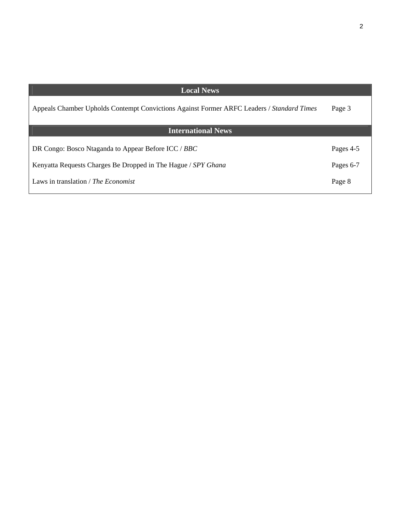| <b>Local News</b>                                                                         |           |
|-------------------------------------------------------------------------------------------|-----------|
| Appeals Chamber Upholds Contempt Convictions Against Former ARFC Leaders / Standard Times | Page 3    |
| <b>International News</b>                                                                 |           |
| DR Congo: Bosco Ntaganda to Appear Before ICC / BBC                                       | Pages 4-5 |
| Kenyatta Requests Charges Be Dropped in The Hague / SPY Ghana                             | Pages 6-7 |
| Laws in translation / <i>The Economist</i>                                                | Page 8    |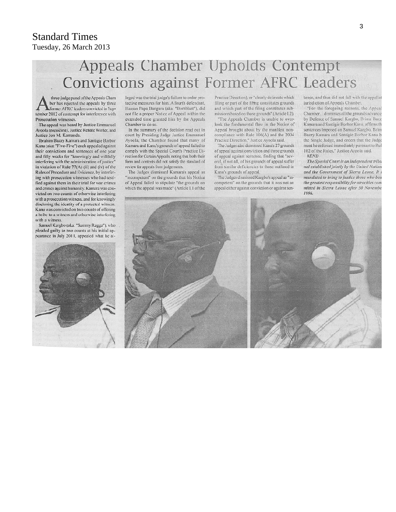## Standard Times Tuesday, 26 March 2013

# Appeals Chamber Upholds Contempt **Convictions against Former AFRC Leaders**

three-judge panel of the Appeals Cham ber has rejected the appeals by three Cormer AFRC leaders convicted in September 2012 of contempt for interference with Prosecution witnesses.

The appeal was heard by Justice Emmanuel Ayoola (presiding), Justice Renate Winter, and Justice Jon M. Kamanda.

Ibrahim Bazzy Kamara and Santigie Borbor Kanu (aka: "Five-Five") each appealed against their convictions and sentences of one year and fifty weeks for "knowingly and willfully interfering with the administration of justice" in violation of Rule 77(A) (ii) and (iv) of the Rules of Procedure and Evidence, by interfering with prosecution witnesses who had testified against them in their trial for war crimes and crimes against humanity. Kamara was convicted on two counts of otherwise interfering with a prosecution witness, and for knowingly disclosing the identity of a protected witness. Kanu was convicted on two counts of offering a bribe to a witness and otherwise interfering with a witness.

Samuel Kargbo (aka: "Sammy Ragga"), who pleaded guilty to two counts at his initial appearance in July 2011, appealed what he al-



leged was the trial judge's failure to order protective measures for him. A fourth defendant, Hassan Papa Bangura (aka: "Bomblast"), did not file a proper Notice of Appeal within the extended time granted him by the Appeals Chamber to do so.

In the summary of the decision read out in court by Presiding Judge Justice Emmanuel Ayoola, the Chamber found that many of Kamara and Kanu's grounds of appeal failed to comply with the Special Court's Practice Direction for Certain Appeals, noting that both their form and contents did not satisfy the standard of review for appeals from judgements.

The Judges dismissed Kamara's appeal as "incompetent" on the grounds that his Notice of Appeal failed to stipulate "the grounds on which the appeal was made" (Article I.1 of the

Practice Direction), or "clearly delineate which filing or part of the filing constitutes grounds and which part of the filing constitutes submissions based on those grounds" (Article I.2).

"The Appeals Chamber is unable to overlook the fundamental flaw in the Notice of Appeal brought about by the manifest noncompliance with Rule 106(A) and the 2004 Practice Direction," Justice Ayoola said.

The Judges also dismissed Kanu's 27 grounds of appeal against conviction and three grounds of appeal against sentence, finding that "several, if not all, of his grounds of appeal suffer from similar deficiencies to those outlined in Kanu's grounds of appeal.

The Judges dismissed Kargbo's appeal as "incompetent" on the grounds that it was not an appeal either against conviction or against sentence, and thus did not fall with the appellat jurisdiction of Appeals Chamber.

"For the foregoing reasons, the Appeal Chamber...dismisses all the grounds advance by Defence of Samuel Kargbo, Brima Bazz Kamara and Santigie Borbor Kanu, affirms th sentences imposed on Samuel Kargbo, Brim Bazzy Kamara and Santigic Borbor Kanu b the Single Judge, and orders that the Judge ment be enforced immediately pursuant to Rul 102 of the Rules," Justice Ayoola said. #END

The Special Court is an independent tribu nal established jointly by the United Nation and the Government of Sierra Leone. It i mandated to bring to justice those who bea the greatest responsibility for atrocities com mitted in Sierra Leone after 30 Novembe 1996

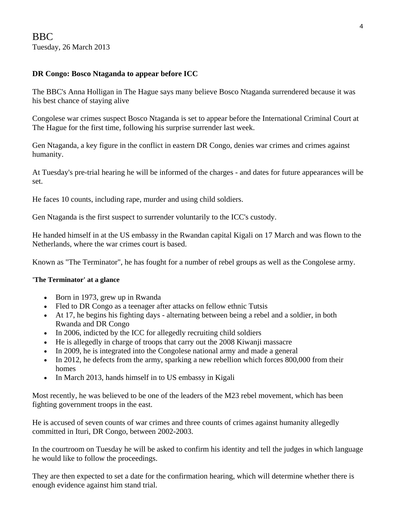### **DR Congo: Bosco Ntaganda to appear before ICC**

The BBC's Anna Holligan in The Hague says many believe Bosco Ntaganda surrendered because it was his best chance of staying alive

Congolese war crimes suspect Bosco Ntaganda is set to appear before the International Criminal Court at The Hague for the first time, following his surprise surrender last week.

Gen Ntaganda, a key figure in the conflict in eastern DR Congo, denies war crimes and crimes against humanity.

At Tuesday's pre-trial hearing he will be informed of the charges - and dates for future appearances will be set.

He faces 10 counts, including rape, murder and using child soldiers.

Gen Ntaganda is the first suspect to surrender voluntarily to the ICC's custody.

He handed himself in at the US embassy in the Rwandan capital Kigali on 17 March and was flown to the Netherlands, where the war crimes court is based.

Known as "The Terminator", he has fought for a number of rebel groups as well as the Congolese army.

#### **'The Terminator' at a glance**

- Born in 1973, grew up in Rwanda
- Fled to DR Congo as a teenager after attacks on fellow ethnic Tutsis
- At 17, he begins his fighting days alternating between being a rebel and a soldier, in both Rwanda and DR Congo
- In 2006, indicted by the ICC for allegedly recruiting child soldiers
- He is allegedly in charge of troops that carry out the 2008 Kiwanji massacre
- In 2009, he is integrated into the Congolese national army and made a general
- In 2012, he defects from the army, sparking a new rebellion which forces 800,000 from their homes
- In March 2013, hands himself in to US embassy in Kigali

Most recently, he was believed to be one of the leaders of the M23 rebel movement, which has been fighting government troops in the east.

He is accused of seven counts of war crimes and three counts of crimes against humanity allegedly committed in Ituri, DR Congo, between 2002-2003.

In the courtroom on Tuesday he will be asked to confirm his identity and tell the judges in which language he would like to follow the proceedings.

They are then expected to set a date for the confirmation hearing, which will determine whether there is enough evidence against him stand trial.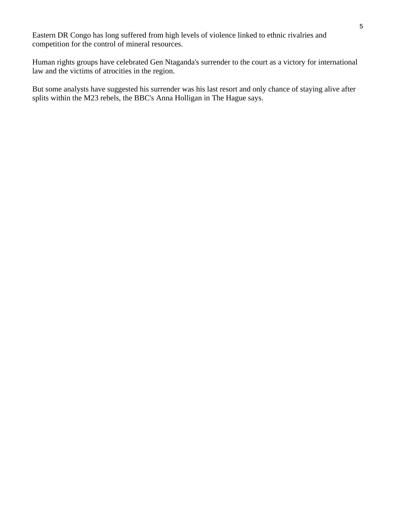Eastern DR Congo has long suffered from high levels of violence linked to ethnic rivalries and competition for the control of mineral resources.

Human rights groups have celebrated Gen Ntaganda's surrender to the court as a victory for international law and the victims of atrocities in the region.

But some analysts have suggested his surrender was his last resort and only chance of staying alive after splits within the M23 rebels, the BBC's Anna Holligan in The Hague says.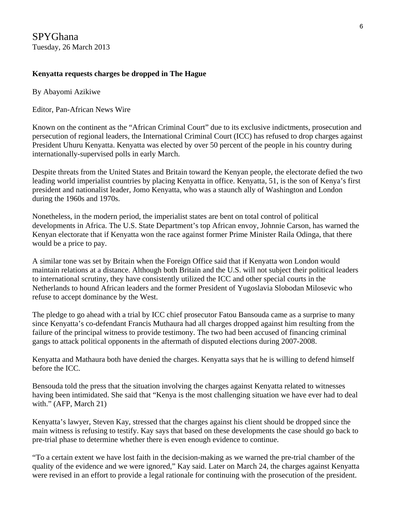SPYGhana Tuesday, 26 March 2013

#### **Kenyatta requests charges be dropped in The Hague**

By Abayomi Azikiwe

Editor, Pan-African News Wire

Known on the continent as the "African Criminal Court" due to its exclusive indictments, prosecution and persecution of regional leaders, the International Criminal Court (ICC) has refused to drop charges against President Uhuru Kenyatta. Kenyatta was elected by over 50 percent of the people in his country during internationally-supervised polls in early March.

Despite threats from the United States and Britain toward the Kenyan people, the electorate defied the two leading world imperialist countries by placing Kenyatta in office. Kenyatta, 51, is the son of Kenya's first president and nationalist leader, Jomo Kenyatta, who was a staunch ally of Washington and London during the 1960s and 1970s.

Nonetheless, in the modern period, the imperialist states are bent on total control of political developments in Africa. The U.S. State Department's top African envoy, Johnnie Carson, has warned the Kenyan electorate that if Kenyatta won the race against former Prime Minister Raila Odinga, that there would be a price to pay.

A similar tone was set by Britain when the Foreign Office said that if Kenyatta won London would maintain relations at a distance. Although both Britain and the U.S. will not subject their political leaders to international scrutiny, they have consistently utilized the ICC and other special courts in the Netherlands to hound African leaders and the former President of Yugoslavia Slobodan Milosevic who refuse to accept dominance by the West.

The pledge to go ahead with a trial by ICC chief prosecutor Fatou Bansouda came as a surprise to many since Kenyatta's co-defendant Francis Muthaura had all charges dropped against him resulting from the failure of the principal witness to provide testimony. The two had been accused of financing criminal gangs to attack political opponents in the aftermath of disputed elections during 2007-2008.

Kenyatta and Mathaura both have denied the charges. Kenyatta says that he is willing to defend himself before the ICC.

Bensouda told the press that the situation involving the charges against Kenyatta related to witnesses having been intimidated. She said that "Kenya is the most challenging situation we have ever had to deal with." (AFP, March 21)

Kenyatta's lawyer, Steven Kay, stressed that the charges against his client should be dropped since the main witness is refusing to testify. Kay says that based on these developments the case should go back to pre-trial phase to determine whether there is even enough evidence to continue.

"To a certain extent we have lost faith in the decision-making as we warned the pre-trial chamber of the quality of the evidence and we were ignored," Kay said. Later on March 24, the charges against Kenyatta were revised in an effort to provide a legal rationale for continuing with the prosecution of the president.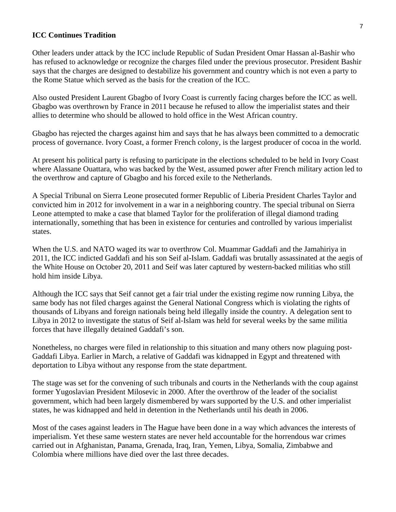#### **ICC Continues Tradition**

Other leaders under attack by the ICC include Republic of Sudan President Omar Hassan al-Bashir who has refused to acknowledge or recognize the charges filed under the previous prosecutor. President Bashir says that the charges are designed to destabilize his government and country which is not even a party to the Rome Statue which served as the basis for the creation of the ICC.

Also ousted President Laurent Gbagbo of Ivory Coast is currently facing charges before the ICC as well. Gbagbo was overthrown by France in 2011 because he refused to allow the imperialist states and their allies to determine who should be allowed to hold office in the West African country.

Gbagbo has rejected the charges against him and says that he has always been committed to a democratic process of governance. Ivory Coast, a former French colony, is the largest producer of cocoa in the world.

At present his political party is refusing to participate in the elections scheduled to be held in Ivory Coast where Alassane Ouattara, who was backed by the West, assumed power after French military action led to the overthrow and capture of Gbagbo and his forced exile to the Netherlands.

A Special Tribunal on Sierra Leone prosecuted former Republic of Liberia President Charles Taylor and convicted him in 2012 for involvement in a war in a neighboring country. The special tribunal on Sierra Leone attempted to make a case that blamed Taylor for the proliferation of illegal diamond trading internationally, something that has been in existence for centuries and controlled by various imperialist states.

When the U.S. and NATO waged its war to overthrow Col. Muammar Gaddafi and the Jamahiriya in 2011, the ICC indicted Gaddafi and his son Seif al-Islam. Gaddafi was brutally assassinated at the aegis of the White House on October 20, 2011 and Seif was later captured by western-backed militias who still hold him inside Libya.

Although the ICC says that Seif cannot get a fair trial under the existing regime now running Libya, the same body has not filed charges against the General National Congress which is violating the rights of thousands of Libyans and foreign nationals being held illegally inside the country. A delegation sent to Libya in 2012 to investigate the status of Seif al-Islam was held for several weeks by the same militia forces that have illegally detained Gaddafi's son.

Nonetheless, no charges were filed in relationship to this situation and many others now plaguing post-Gaddafi Libya. Earlier in March, a relative of Gaddafi was kidnapped in Egypt and threatened with deportation to Libya without any response from the state department.

The stage was set for the convening of such tribunals and courts in the Netherlands with the coup against former Yugoslavian President Milosevic in 2000. After the overthrow of the leader of the socialist government, which had been largely dismembered by wars supported by the U.S. and other imperialist states, he was kidnapped and held in detention in the Netherlands until his death in 2006.

Most of the cases against leaders in The Hague have been done in a way which advances the interests of imperialism. Yet these same western states are never held accountable for the horrendous war crimes carried out in Afghanistan, Panama, Grenada, Iraq, Iran, Yemen, Libya, Somalia, Zimbabwe and Colombia where millions have died over the last three decades.